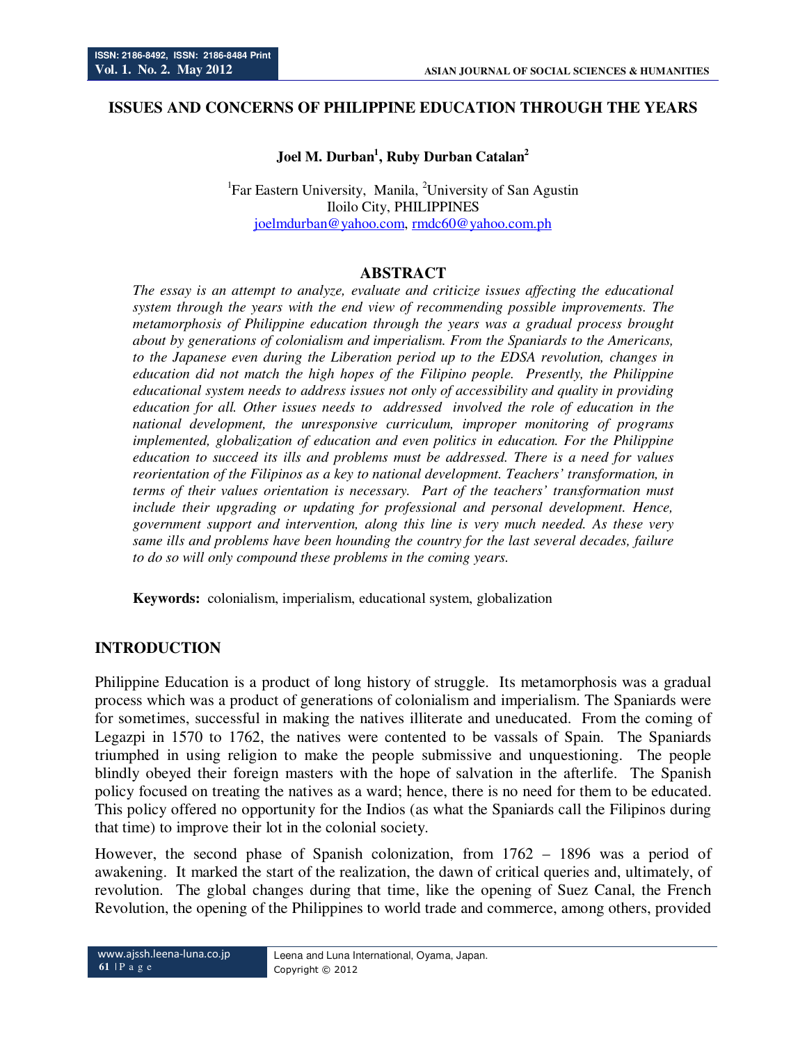### **ISSUES AND CONCERNS OF PHILIPPINE EDUCATION THROUGH THE YEARS**

# **Joel M. Durban<sup>1</sup> , Ruby Durban Catalan<sup>2</sup>**

<sup>1</sup>Far Eastern University, Manila, <sup>2</sup>University of San Agustin Iloilo City, PHILIPPINES joelmdurban@yahoo.com, rmdc60@yahoo.com.ph

#### **ABSTRACT**

*The essay is an attempt to analyze, evaluate and criticize issues affecting the educational system through the years with the end view of recommending possible improvements. The metamorphosis of Philippine education through the years was a gradual process brought about by generations of colonialism and imperialism. From the Spaniards to the Americans, to the Japanese even during the Liberation period up to the EDSA revolution, changes in education did not match the high hopes of the Filipino people. Presently, the Philippine educational system needs to address issues not only of accessibility and quality in providing education for all. Other issues needs to addressed involved the role of education in the national development, the unresponsive curriculum, improper monitoring of programs implemented, globalization of education and even politics in education. For the Philippine education to succeed its ills and problems must be addressed. There is a need for values reorientation of the Filipinos as a key to national development. Teachers' transformation, in terms of their values orientation is necessary. Part of the teachers' transformation must include their upgrading or updating for professional and personal development. Hence, government support and intervention, along this line is very much needed. As these very same ills and problems have been hounding the country for the last several decades, failure to do so will only compound these problems in the coming years.* 

**Keywords:** colonialism, imperialism, educational system, globalization

## **INTRODUCTION**

Philippine Education is a product of long history of struggle. Its metamorphosis was a gradual process which was a product of generations of colonialism and imperialism. The Spaniards were for sometimes, successful in making the natives illiterate and uneducated. From the coming of Legazpi in 1570 to 1762, the natives were contented to be vassals of Spain. The Spaniards triumphed in using religion to make the people submissive and unquestioning. The people blindly obeyed their foreign masters with the hope of salvation in the afterlife. The Spanish policy focused on treating the natives as a ward; hence, there is no need for them to be educated. This policy offered no opportunity for the Indios (as what the Spaniards call the Filipinos during that time) to improve their lot in the colonial society.

However, the second phase of Spanish colonization, from 1762 – 1896 was a period of awakening. It marked the start of the realization, the dawn of critical queries and, ultimately, of revolution. The global changes during that time, like the opening of Suez Canal, the French Revolution, the opening of the Philippines to world trade and commerce, among others, provided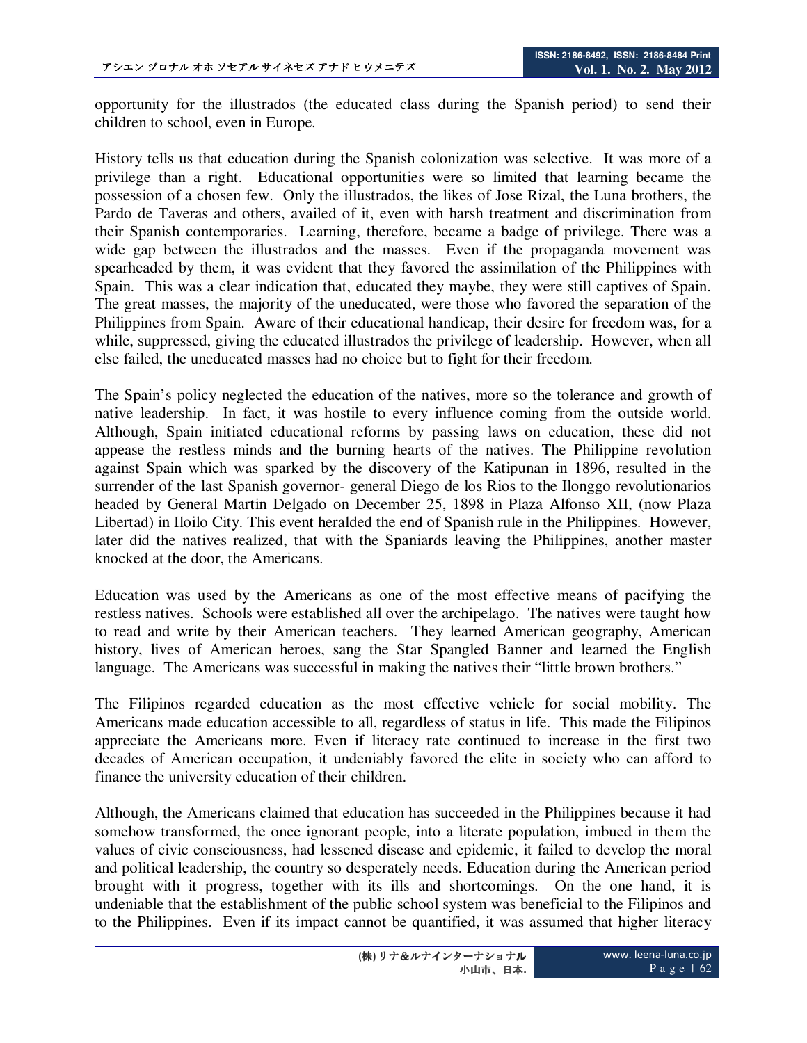opportunity for the illustrados (the educated class during the Spanish period) to send their children to school, even in Europe.

History tells us that education during the Spanish colonization was selective. It was more of a privilege than a right. Educational opportunities were so limited that learning became the possession of a chosen few. Only the illustrados, the likes of Jose Rizal, the Luna brothers, the Pardo de Taveras and others, availed of it, even with harsh treatment and discrimination from their Spanish contemporaries. Learning, therefore, became a badge of privilege. There was a wide gap between the illustrados and the masses. Even if the propaganda movement was spearheaded by them, it was evident that they favored the assimilation of the Philippines with Spain. This was a clear indication that, educated they maybe, they were still captives of Spain. The great masses, the majority of the uneducated, were those who favored the separation of the Philippines from Spain. Aware of their educational handicap, their desire for freedom was, for a while, suppressed, giving the educated illustrados the privilege of leadership. However, when all else failed, the uneducated masses had no choice but to fight for their freedom.

The Spain's policy neglected the education of the natives, more so the tolerance and growth of native leadership. In fact, it was hostile to every influence coming from the outside world. Although, Spain initiated educational reforms by passing laws on education, these did not appease the restless minds and the burning hearts of the natives. The Philippine revolution against Spain which was sparked by the discovery of the Katipunan in 1896, resulted in the surrender of the last Spanish governor- general Diego de los Rios to the Ilonggo revolutionarios headed by General Martin Delgado on December 25, 1898 in Plaza Alfonso XII, (now Plaza Libertad) in Iloilo City. This event heralded the end of Spanish rule in the Philippines. However, later did the natives realized, that with the Spaniards leaving the Philippines, another master knocked at the door, the Americans.

Education was used by the Americans as one of the most effective means of pacifying the restless natives. Schools were established all over the archipelago. The natives were taught how to read and write by their American teachers. They learned American geography, American history, lives of American heroes, sang the Star Spangled Banner and learned the English language. The Americans was successful in making the natives their "little brown brothers."

The Filipinos regarded education as the most effective vehicle for social mobility. The Americans made education accessible to all, regardless of status in life. This made the Filipinos appreciate the Americans more. Even if literacy rate continued to increase in the first two decades of American occupation, it undeniably favored the elite in society who can afford to finance the university education of their children.

Although, the Americans claimed that education has succeeded in the Philippines because it had somehow transformed, the once ignorant people, into a literate population, imbued in them the values of civic consciousness, had lessened disease and epidemic, it failed to develop the moral and political leadership, the country so desperately needs. Education during the American period brought with it progress, together with its ills and shortcomings. On the one hand, it is undeniable that the establishment of the public school system was beneficial to the Filipinos and to the Philippines. Even if its impact cannot be quantified, it was assumed that higher literacy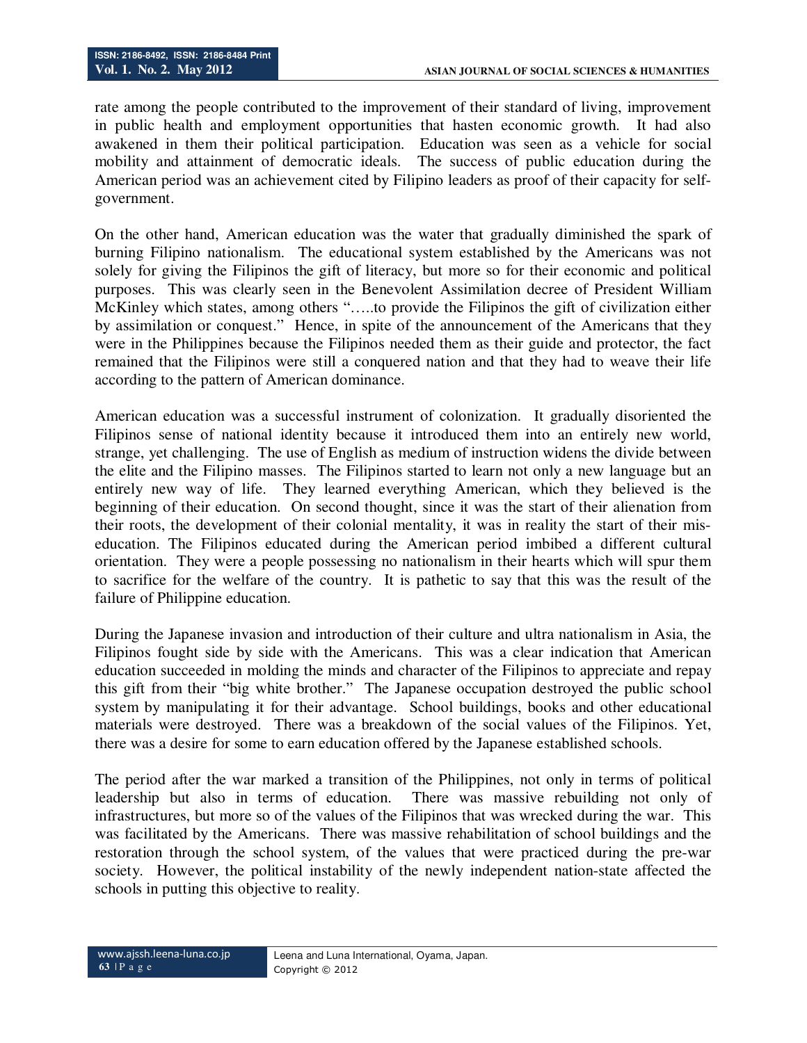rate among the people contributed to the improvement of their standard of living, improvement in public health and employment opportunities that hasten economic growth. It had also awakened in them their political participation. Education was seen as a vehicle for social mobility and attainment of democratic ideals. The success of public education during the American period was an achievement cited by Filipino leaders as proof of their capacity for selfgovernment.

On the other hand, American education was the water that gradually diminished the spark of burning Filipino nationalism. The educational system established by the Americans was not solely for giving the Filipinos the gift of literacy, but more so for their economic and political purposes. This was clearly seen in the Benevolent Assimilation decree of President William McKinley which states, among others "…..to provide the Filipinos the gift of civilization either by assimilation or conquest." Hence, in spite of the announcement of the Americans that they were in the Philippines because the Filipinos needed them as their guide and protector, the fact remained that the Filipinos were still a conquered nation and that they had to weave their life according to the pattern of American dominance.

American education was a successful instrument of colonization. It gradually disoriented the Filipinos sense of national identity because it introduced them into an entirely new world, strange, yet challenging. The use of English as medium of instruction widens the divide between the elite and the Filipino masses. The Filipinos started to learn not only a new language but an entirely new way of life. They learned everything American, which they believed is the beginning of their education. On second thought, since it was the start of their alienation from their roots, the development of their colonial mentality, it was in reality the start of their miseducation. The Filipinos educated during the American period imbibed a different cultural orientation. They were a people possessing no nationalism in their hearts which will spur them to sacrifice for the welfare of the country. It is pathetic to say that this was the result of the failure of Philippine education.

During the Japanese invasion and introduction of their culture and ultra nationalism in Asia, the Filipinos fought side by side with the Americans. This was a clear indication that American education succeeded in molding the minds and character of the Filipinos to appreciate and repay this gift from their "big white brother." The Japanese occupation destroyed the public school system by manipulating it for their advantage. School buildings, books and other educational materials were destroyed. There was a breakdown of the social values of the Filipinos. Yet, there was a desire for some to earn education offered by the Japanese established schools.

The period after the war marked a transition of the Philippines, not only in terms of political leadership but also in terms of education. There was massive rebuilding not only of infrastructures, but more so of the values of the Filipinos that was wrecked during the war. This was facilitated by the Americans. There was massive rehabilitation of school buildings and the restoration through the school system, of the values that were practiced during the pre-war society. However, the political instability of the newly independent nation-state affected the schools in putting this objective to reality.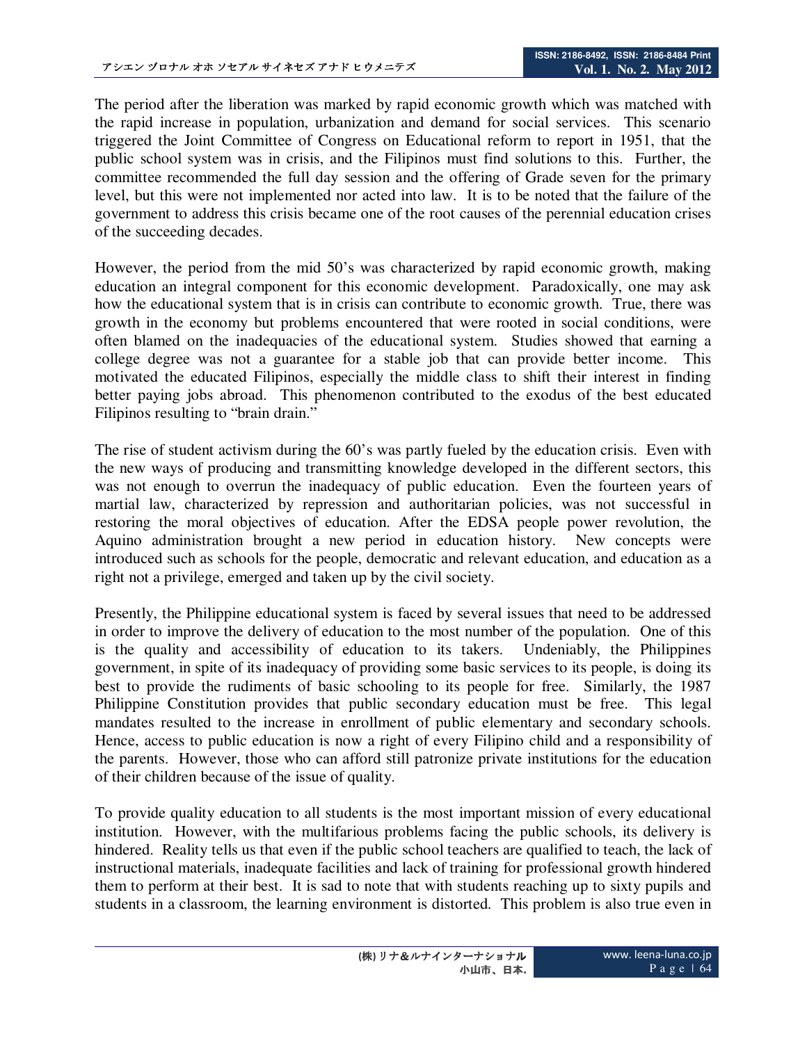The period after the liberation was marked by rapid economic growth which was matched with the rapid increase in population, urbanization and demand for social services. This scenario triggered the Joint Committee of Congress on Educational reform to report in 1951, that the public school system was in crisis, and the Filipinos must find solutions to this. Further, the committee recommended the full day session and the offering of Grade seven for the primary level, but this were not implemented nor acted into law. It is to be noted that the failure of the government to address this crisis became one of the root causes of the perennial education crises of the succeeding decades.

However, the period from the mid 50's was characterized by rapid economic growth, making education an integral component for this economic development. Paradoxically, one may ask how the educational system that is in crisis can contribute to economic growth. True, there was growth in the economy but problems encountered that were rooted in social conditions, were often blamed on the inadequacies of the educational system. Studies showed that earning a college degree was not a guarantee for a stable job that can provide better income. This motivated the educated Filipinos, especially the middle class to shift their interest in finding better paying jobs abroad. This phenomenon contributed to the exodus of the best educated Filipinos resulting to "brain drain."

The rise of student activism during the 60's was partly fueled by the education crisis. Even with the new ways of producing and transmitting knowledge developed in the different sectors, this was not enough to overrun the inadequacy of public education. Even the fourteen years of martial law, characterized by repression and authoritarian policies, was not successful in restoring the moral objectives of education. After the EDSA people power revolution, the Aquino administration brought a new period in education history. New concepts were introduced such as schools for the people, democratic and relevant education, and education as a right not a privilege, emerged and taken up by the civil society.

Presently, the Philippine educational system is faced by several issues that need to be addressed in order to improve the delivery of education to the most number of the population. One of this is the quality and accessibility of education to its takers. Undeniably, the Philippines government, in spite of its inadequacy of providing some basic services to its people, is doing its best to provide the rudiments of basic schooling to its people for free. Similarly, the 1987 Philippine Constitution provides that public secondary education must be free. This legal mandates resulted to the increase in enrollment of public elementary and secondary schools. Hence, access to public education is now a right of every Filipino child and a responsibility of the parents. However, those who can afford still patronize private institutions for the education of their children because of the issue of quality.

To provide quality education to all students is the most important mission of every educational institution. However, with the multifarious problems facing the public schools, its delivery is hindered. Reality tells us that even if the public school teachers are qualified to teach, the lack of instructional materials, inadequate facilities and lack of training for professional growth hindered them to perform at their best. It is sad to note that with students reaching up to sixty pupils and students in a classroom, the learning environment is distorted. This problem is also true even in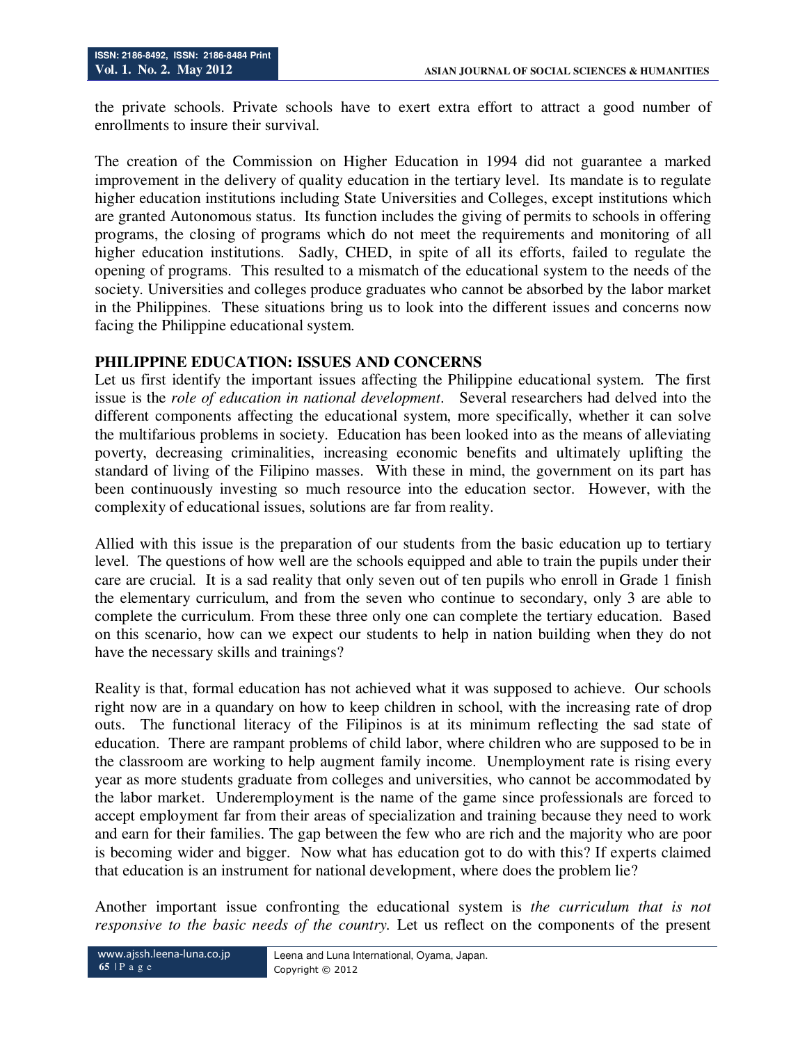the private schools. Private schools have to exert extra effort to attract a good number of enrollments to insure their survival.

The creation of the Commission on Higher Education in 1994 did not guarantee a marked improvement in the delivery of quality education in the tertiary level. Its mandate is to regulate higher education institutions including State Universities and Colleges, except institutions which are granted Autonomous status. Its function includes the giving of permits to schools in offering programs, the closing of programs which do not meet the requirements and monitoring of all higher education institutions. Sadly, CHED, in spite of all its efforts, failed to regulate the opening of programs. This resulted to a mismatch of the educational system to the needs of the society. Universities and colleges produce graduates who cannot be absorbed by the labor market in the Philippines. These situations bring us to look into the different issues and concerns now facing the Philippine educational system.

## **PHILIPPINE EDUCATION: ISSUES AND CONCERNS**

Let us first identify the important issues affecting the Philippine educational system. The first issue is the *role of education in national development*. Several researchers had delved into the different components affecting the educational system, more specifically, whether it can solve the multifarious problems in society. Education has been looked into as the means of alleviating poverty, decreasing criminalities, increasing economic benefits and ultimately uplifting the standard of living of the Filipino masses. With these in mind, the government on its part has been continuously investing so much resource into the education sector. However, with the complexity of educational issues, solutions are far from reality.

Allied with this issue is the preparation of our students from the basic education up to tertiary level. The questions of how well are the schools equipped and able to train the pupils under their care are crucial. It is a sad reality that only seven out of ten pupils who enroll in Grade 1 finish the elementary curriculum, and from the seven who continue to secondary, only 3 are able to complete the curriculum. From these three only one can complete the tertiary education. Based on this scenario, how can we expect our students to help in nation building when they do not have the necessary skills and trainings?

Reality is that, formal education has not achieved what it was supposed to achieve. Our schools right now are in a quandary on how to keep children in school, with the increasing rate of drop outs. The functional literacy of the Filipinos is at its minimum reflecting the sad state of education. There are rampant problems of child labor, where children who are supposed to be in the classroom are working to help augment family income. Unemployment rate is rising every year as more students graduate from colleges and universities, who cannot be accommodated by the labor market. Underemployment is the name of the game since professionals are forced to accept employment far from their areas of specialization and training because they need to work and earn for their families. The gap between the few who are rich and the majority who are poor is becoming wider and bigger. Now what has education got to do with this? If experts claimed that education is an instrument for national development, where does the problem lie?

Another important issue confronting the educational system is *the curriculum that is not responsive to the basic needs of the country.* Let us reflect on the components of the present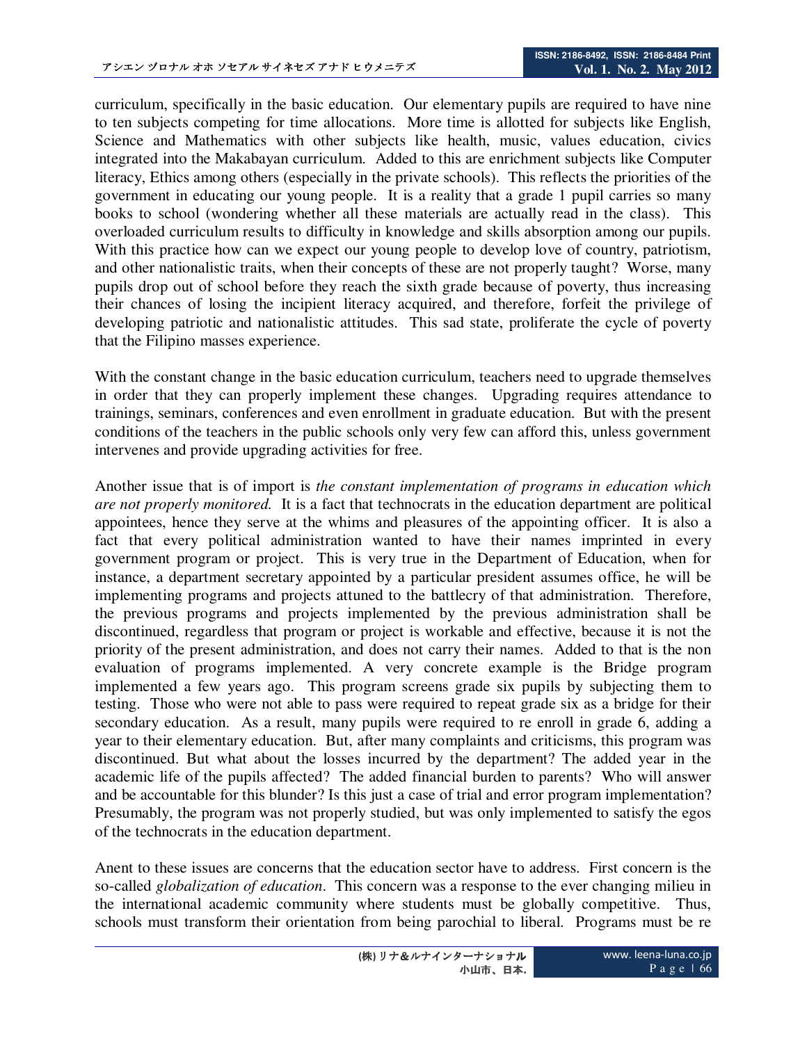curriculum, specifically in the basic education. Our elementary pupils are required to have nine to ten subjects competing for time allocations. More time is allotted for subjects like English, Science and Mathematics with other subjects like health, music, values education, civics integrated into the Makabayan curriculum. Added to this are enrichment subjects like Computer literacy, Ethics among others (especially in the private schools). This reflects the priorities of the government in educating our young people. It is a reality that a grade 1 pupil carries so many books to school (wondering whether all these materials are actually read in the class). This overloaded curriculum results to difficulty in knowledge and skills absorption among our pupils. With this practice how can we expect our young people to develop love of country, patriotism, and other nationalistic traits, when their concepts of these are not properly taught? Worse, many pupils drop out of school before they reach the sixth grade because of poverty, thus increasing their chances of losing the incipient literacy acquired, and therefore, forfeit the privilege of developing patriotic and nationalistic attitudes. This sad state, proliferate the cycle of poverty that the Filipino masses experience.

With the constant change in the basic education curriculum, teachers need to upgrade themselves in order that they can properly implement these changes. Upgrading requires attendance to trainings, seminars, conferences and even enrollment in graduate education. But with the present conditions of the teachers in the public schools only very few can afford this, unless government intervenes and provide upgrading activities for free.

Another issue that is of import is *the constant implementation of programs in education which are not properly monitored.* It is a fact that technocrats in the education department are political appointees, hence they serve at the whims and pleasures of the appointing officer. It is also a fact that every political administration wanted to have their names imprinted in every government program or project. This is very true in the Department of Education, when for instance, a department secretary appointed by a particular president assumes office, he will be implementing programs and projects attuned to the battlecry of that administration. Therefore, the previous programs and projects implemented by the previous administration shall be discontinued, regardless that program or project is workable and effective, because it is not the priority of the present administration, and does not carry their names. Added to that is the non evaluation of programs implemented. A very concrete example is the Bridge program implemented a few years ago. This program screens grade six pupils by subjecting them to testing. Those who were not able to pass were required to repeat grade six as a bridge for their secondary education. As a result, many pupils were required to re enroll in grade 6, adding a year to their elementary education. But, after many complaints and criticisms, this program was discontinued. But what about the losses incurred by the department? The added year in the academic life of the pupils affected? The added financial burden to parents? Who will answer and be accountable for this blunder? Is this just a case of trial and error program implementation? Presumably, the program was not properly studied, but was only implemented to satisfy the egos of the technocrats in the education department.

Anent to these issues are concerns that the education sector have to address. First concern is the so-called *globalization of education*. This concern was a response to the ever changing milieu in the international academic community where students must be globally competitive. Thus, schools must transform their orientation from being parochial to liberal. Programs must be re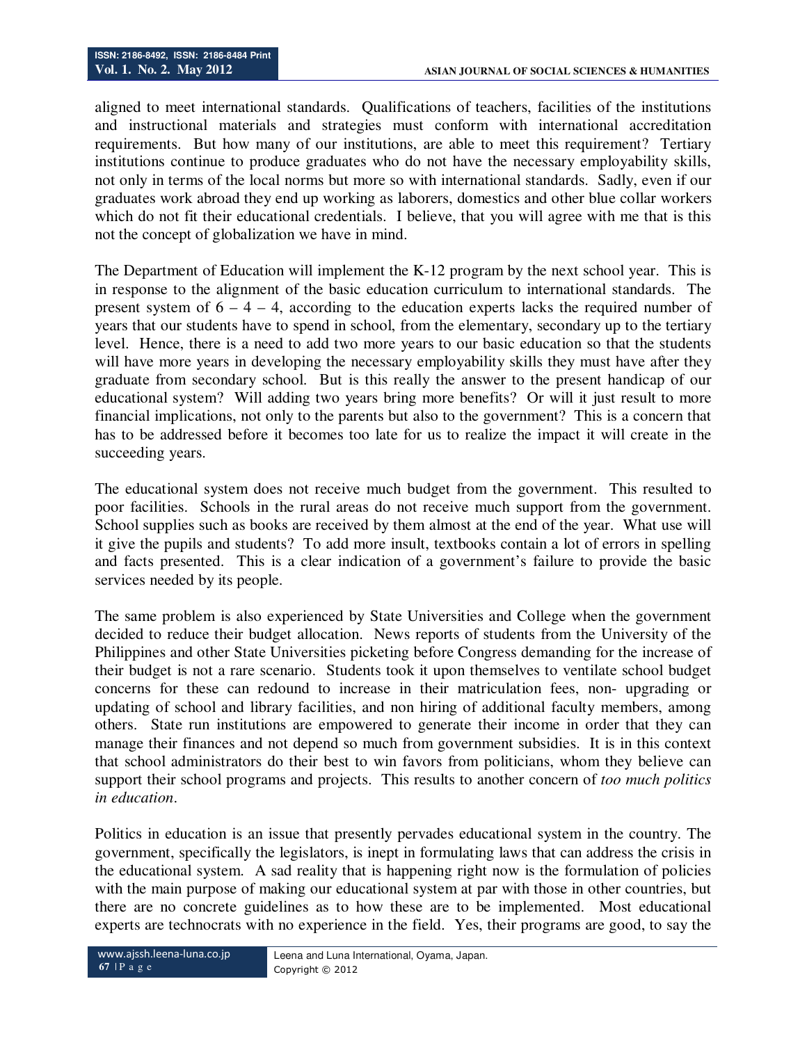aligned to meet international standards. Qualifications of teachers, facilities of the institutions and instructional materials and strategies must conform with international accreditation requirements. But how many of our institutions, are able to meet this requirement? Tertiary institutions continue to produce graduates who do not have the necessary employability skills, not only in terms of the local norms but more so with international standards. Sadly, even if our graduates work abroad they end up working as laborers, domestics and other blue collar workers which do not fit their educational credentials. I believe, that you will agree with me that is this not the concept of globalization we have in mind.

The Department of Education will implement the K-12 program by the next school year. This is in response to the alignment of the basic education curriculum to international standards. The present system of  $6 - 4 - 4$ , according to the education experts lacks the required number of years that our students have to spend in school, from the elementary, secondary up to the tertiary level. Hence, there is a need to add two more years to our basic education so that the students will have more years in developing the necessary employability skills they must have after they graduate from secondary school. But is this really the answer to the present handicap of our educational system? Will adding two years bring more benefits? Or will it just result to more financial implications, not only to the parents but also to the government? This is a concern that has to be addressed before it becomes too late for us to realize the impact it will create in the succeeding years.

The educational system does not receive much budget from the government. This resulted to poor facilities. Schools in the rural areas do not receive much support from the government. School supplies such as books are received by them almost at the end of the year. What use will it give the pupils and students? To add more insult, textbooks contain a lot of errors in spelling and facts presented. This is a clear indication of a government's failure to provide the basic services needed by its people.

The same problem is also experienced by State Universities and College when the government decided to reduce their budget allocation. News reports of students from the University of the Philippines and other State Universities picketing before Congress demanding for the increase of their budget is not a rare scenario. Students took it upon themselves to ventilate school budget concerns for these can redound to increase in their matriculation fees, non- upgrading or updating of school and library facilities, and non hiring of additional faculty members, among others. State run institutions are empowered to generate their income in order that they can manage their finances and not depend so much from government subsidies. It is in this context that school administrators do their best to win favors from politicians, whom they believe can support their school programs and projects. This results to another concern of *too much politics in education*.

Politics in education is an issue that presently pervades educational system in the country. The government, specifically the legislators, is inept in formulating laws that can address the crisis in the educational system. A sad reality that is happening right now is the formulation of policies with the main purpose of making our educational system at par with those in other countries, but there are no concrete guidelines as to how these are to be implemented. Most educational experts are technocrats with no experience in the field. Yes, their programs are good, to say the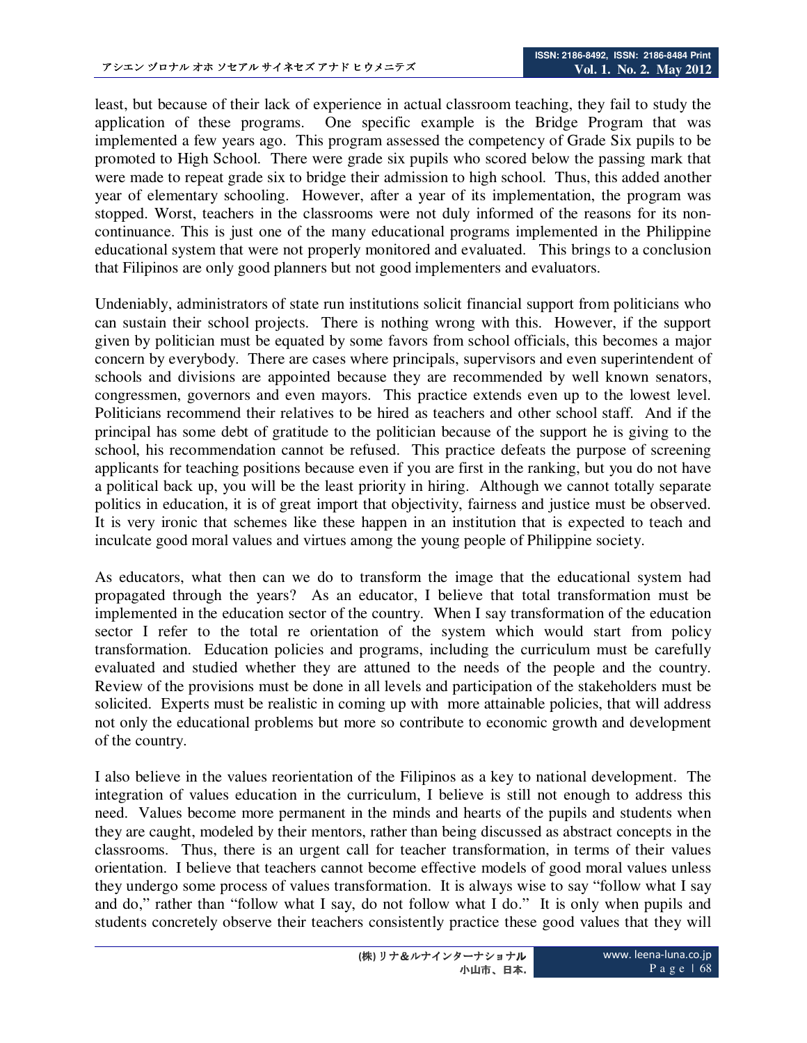least, but because of their lack of experience in actual classroom teaching, they fail to study the application of these programs. One specific example is the Bridge Program that was implemented a few years ago. This program assessed the competency of Grade Six pupils to be promoted to High School. There were grade six pupils who scored below the passing mark that were made to repeat grade six to bridge their admission to high school. Thus, this added another year of elementary schooling. However, after a year of its implementation, the program was stopped. Worst, teachers in the classrooms were not duly informed of the reasons for its noncontinuance. This is just one of the many educational programs implemented in the Philippine educational system that were not properly monitored and evaluated. This brings to a conclusion that Filipinos are only good planners but not good implementers and evaluators.

Undeniably, administrators of state run institutions solicit financial support from politicians who can sustain their school projects. There is nothing wrong with this. However, if the support given by politician must be equated by some favors from school officials, this becomes a major concern by everybody. There are cases where principals, supervisors and even superintendent of schools and divisions are appointed because they are recommended by well known senators, congressmen, governors and even mayors. This practice extends even up to the lowest level. Politicians recommend their relatives to be hired as teachers and other school staff. And if the principal has some debt of gratitude to the politician because of the support he is giving to the school, his recommendation cannot be refused. This practice defeats the purpose of screening applicants for teaching positions because even if you are first in the ranking, but you do not have a political back up, you will be the least priority in hiring. Although we cannot totally separate politics in education, it is of great import that objectivity, fairness and justice must be observed. It is very ironic that schemes like these happen in an institution that is expected to teach and inculcate good moral values and virtues among the young people of Philippine society.

As educators, what then can we do to transform the image that the educational system had propagated through the years? As an educator, I believe that total transformation must be implemented in the education sector of the country. When I say transformation of the education sector I refer to the total re orientation of the system which would start from policy transformation. Education policies and programs, including the curriculum must be carefully evaluated and studied whether they are attuned to the needs of the people and the country. Review of the provisions must be done in all levels and participation of the stakeholders must be solicited. Experts must be realistic in coming up with more attainable policies, that will address not only the educational problems but more so contribute to economic growth and development of the country.

I also believe in the values reorientation of the Filipinos as a key to national development. The integration of values education in the curriculum, I believe is still not enough to address this need. Values become more permanent in the minds and hearts of the pupils and students when they are caught, modeled by their mentors, rather than being discussed as abstract concepts in the classrooms. Thus, there is an urgent call for teacher transformation, in terms of their values orientation. I believe that teachers cannot become effective models of good moral values unless they undergo some process of values transformation. It is always wise to say "follow what I say and do," rather than "follow what I say, do not follow what I do." It is only when pupils and students concretely observe their teachers consistently practice these good values that they will